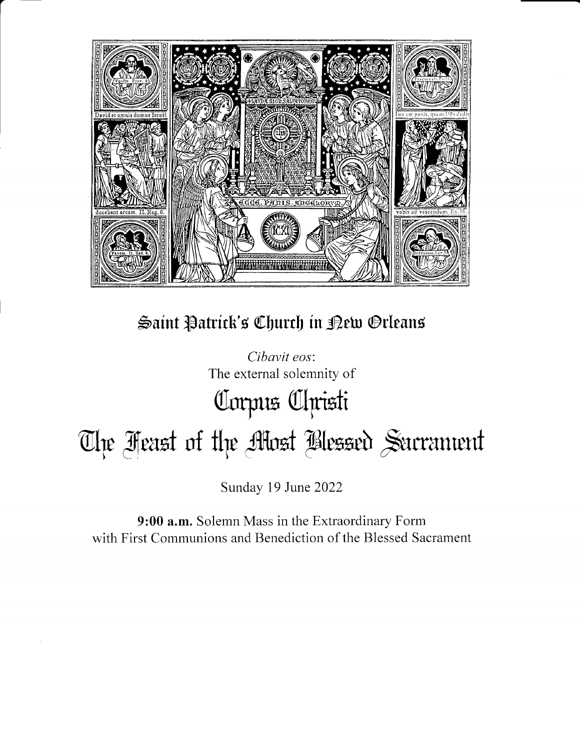

Saint Patrick's Church in Rew Orleans

Cibavit eos: The external solemnity of Corpus Clpristi The Feast of the Most Blessed Sacrament

Sunday 19 June 2022

9:00 a.m. Solemn Mass in the Extraordinary Form with First Communions and Benediction of the Blessed Sacrament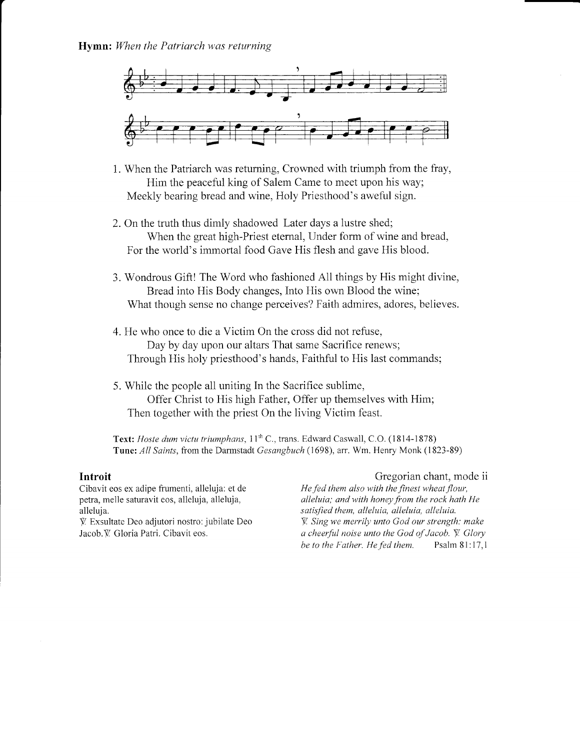

- 1. When the Patriarch was returning, Crowned with triumph from the fray, Him the peaceful king of Salem Came to meet upon his way; Meekly bearing bread and wine, Holy Priesthood's aweful sign.
- 2. On the truth thus dimly shadowed Later days a lustre shed; When the great high-Priest etemal, Under form of wine and bread, For the world's immortai food Gave His flesh and gave His blood.
- 3. Wondrous Gift! The Word who fashioned All things by His might divine, Bread into His Body changes, Into His own Blood the wine; What though sense no change perceives? Faith admires, adores, believes.
- 4. He who once to die a Victim On the cross did not refuse, Day by day upon our altars That same Sacrifice renews; Through His holy priesthood's hands, Faithful to His last commands;
- 5. While the people all uniting in the Sacrifice sublime, Offer Christ to His high Father, Offer up themselves with Him; Then together with the priest On the living Victim feast.

Text: Hoste dum victu triumphans, 11<sup>th</sup> C., trans. Edward Caswall, C.O. (1814-1878) Tune: All Saints, fiom the Darmstadt Gesangbuch (1698), arr. Wm. Henry Monk (1823-89)

### Introit

Cibavit eos ex adipe frumenti, alleluja: et de petra, melle saturavit eos, alleluja, alieluja, alleluja.

{ Exsultate Deo adjutori nostro: jubilate Deo Jacob. V. Gloria Patri. Cibavit eos.

### Gregorian chant, mode ii

He fed them also with the finest wheat flour, alleluia; and with honey from the rock hath He satisfied them, alleluia, alleluia, alleluia.  $\Psi$ . Sing we merrily unto God our strength: make a cheerful noise unto the God of Jacob.  $\ddot{V}$ . Glory be to the Father. He fed them. Psalm 81:17,1 be to the Father. He fed them.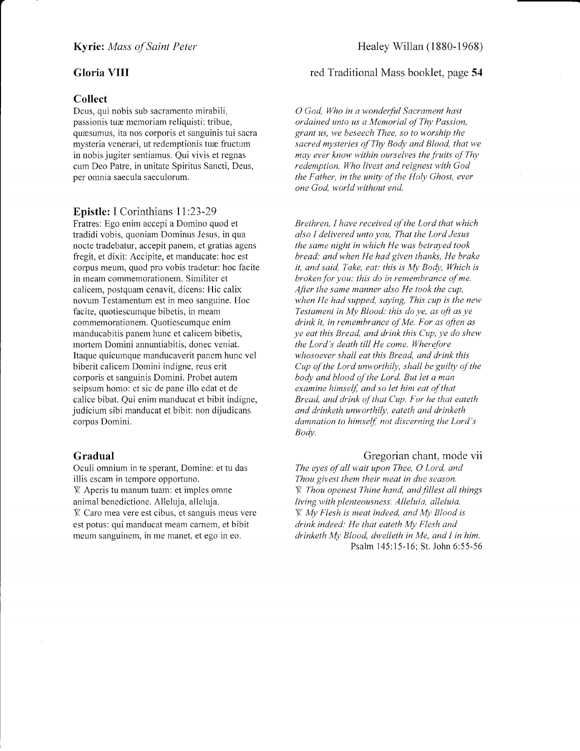#### Gloria VIII

#### Collect

Deus, qui nobis sub sacramento mirabili, passionis tuæ memoriam reliquisti: tribue, quesumus, ita nos corporis et sanguinis tui sacra mysteria venerari, ut redemptionis tuæ fructum in nobis jugiter sentiamus. Qui vivis et regnas cum Deo Patre, in unitate Spiritus Sancti, Deus, per omnia saecula saeculorum.

#### Epistle: I Corinthians ll:23-29

Fratres: Ego enim accepi a Domino quod et tradidi vobis, quoniam Dominus Jesus, in qua nocte tradebatur, accepit panem, et gratias agens fregit, et dixit: Accipite, et manducate: hoc est corpus meum, quod pro vobis tradetur: hoc facite in meam commemorationem. Similiter et calicem, postquam cenavit, dicens: Hic calix novum Testamentum est in meo sanguine. Hoc facite, quotiescumque bibetis, in meam commemorationem. Quotiescumque enim manducabitis panem hunc et calicem bibetis, mortem Domini annuntiabitis, donec veniat. Itaque quicumque manducaverit panem hunc vel biberit calicem Domini indigne, reus erit corporis et sanguinis Domini. Probet autem seipsum homo: et sic de pane illo edat et de calice bibat. Qui enim manducat et bibit indigne, judicium sibi manducat et bibit: non dijudicans corpus Domini.

#### Gradual

Oculi omnium in te sperant, Domine: et tu das illis escam in tempore opportuno. { Aperis tu manum tuam: et imples omne

animal benedictione. Alleluja, alleluja. V Caro mea vere est cibus, et sanguis meus vere est potus: qui manducat meam carnem, et bibit meum sanguinem. in me manet. et ego in eo.

# red Traditional Mass booklet, page 54

O God, Who in a wonderful Sacrament hast ordained unto us a Memorial of Thy Passion, grant us, we beseech Thee, so to worship the sacred mysteries of Thy Body and Blood, that we may ever know within ourselves the fruits of Thy redemption. Who livest and reignest with God the Father, in the unity of the Holy Ghost, ever one God, world without end.

Brethren, I have received of the Lord that which also I delivered unto you, That the Lord Jesus the same night in which He was betrayed took bread: andwhen He had given thanks, He brake it, and said, Take, eat: this is My Body, Which is broken for you: this do in remembrance of me. After the same manner also  $He$  took the cup, when He had supped, saying, This cup is the new Testament in My Blood: this do ye, as oft as ye drink it, in remembrance of Me. For as often as ye eat this Bread, and drink this Cup, ye do shew the Lord's death till He come. Wherefore whosoever shall eat this Bread, and drink this Cup of the Lord unworthily, shall be guilty of the body and blood of the Lord. But let a man examine himself, and so let him eat of that Bread, and drink of that Cup. For he that eateth and drinketh unworthily, eateth and drinketh damnation to himself, not discerning the Lord's Body.

#### Gregorian chant, mode vii

The eyes of all wait upon Thee, O Lord, and Thou givest them their meat in due season.  $V$ . Thou openest Thine hand, and fillest all things living with plenteousness. Alleluia, alleluia.  ${W}$ . My Flesh is meat indeed, and My Blood is drink indeed: He that eateth My Flesh and drinketh My Blood, dwelleth in Me, and I in him. Psalm 145:15-16; St. John 6:55-56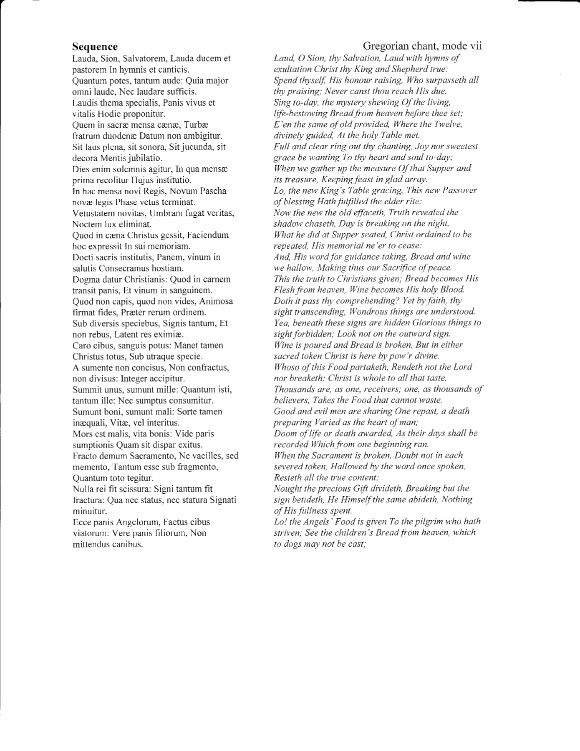#### Sequence

Lauda, Sion, Salvatorem, Lauda ducem et pastorem In hymnis et canticis. Quantum potes, tantum aude: Quia major omni laude, Nec laudare sufficis. Laudis thema specialis, Panis vivus et vitalis Hodie proponitur. Quem in sacræ mensa cænæ, Turbæ fratrum duodenæ Datum non ambigitur. Sit laus plena, sit sonora, Sit jucunda, sit decora Mentis jubilatio. Dies enim solemnis agitur, In qua mensæ prima recolifur Hujus institutio. In hac mensa novi Regis, Novum Pascha nova legis Phase vetus terminat. Vetustatem novitas, Umbram fugat veritas, Noctem iux eliminat. Quod in cæna Christus gessit, Faciendum hoc expressit In sui memoriam. Docti sacris institutis, Panem, vinum in salutis Consecramus hostiam. Dogma datur Christianis: Quod in carnem transit panis, Et vinum in sanguinem. Quod non capis, quod non vides, Animosa firmat fides, Præter rerum ordinem. Sub diversis speciebus, Signis tantum, Et non rebus, Latent res eximiæ. Caro cibus, sanguis potus: Manet tamen Christus totus. Sub utraque specie. A sumente non concisus, Non confractus, non divisus: Integer accipitur. Summit unus, sumunt miile: Quantum isti, tantum ille: Nec sumptus consumitur. Sumunt boni, sumunt mali: Sorte tamen inæquali, Vitæ, vel interitus. Mors est malis, vita bonis: Vide paris sumptionis Quam sit dispar exitus. Fracto demum Sacramento, Ne vacilles, sed memento, Tantum esse sub fragmento, Quantum toto tegitur. Nulla rei fit scissura: Signi tantum fit fractura: Qua nec status, nec statura Signati

minuitur. Ecce panis Angelorum, Factus cibus viatorum: Vere panis filiorum, Non

mittendus canibus.

#### Gregorian chant, mode vii

Laud, O Sion, thy Salvation, Laud with hymns of exultation Christ thy King and Shepherd true: Spend thyself, His honour raising, Who surpasseth all thy praising; Never canst thou reach His due. Sing to-day, the mystery shewing Of the living, life-bestowing Bread from heaven before thee set;  $E$ 'en the same of old provided, Where the Twelve, divinely guided, At the holy Table met. Full and clear ring out thy chanting, Joy nor sweetest grace be wanting To thy heart and soul to-day; When we gather up the measure Of that Supper and its treasure, Keeping feast in glad array. Lo, the new King's Table gracing, This new Passover of blessing Hath fulfilled the elder rite: Now the new the old effaceth, Truth revealed the shadow chaseth, Day is breaking on the night. What he did at Supper seated, Christ ordained to be repeated, His memorial ne'er to cease: And, His word for guidonce taking, Bread and wine we hallow, Making thus our Sacrifice of peace. This the truth to Christians given; Bread becomes His Flesh from heaven, Wine becomes His holy Blood. Doth it pass thy comprehending? Yet by faith, thy sight transcending, Wondrous things are understood. Yea, beneath these signs are hidden Glorious things to sight forbidden; Look not on the outward sign. Wine is poured and Bread is broken, But in either sacred token Christ is here by pow'r divine. Whoso of this Food partaketh, Rendeth not the Lord nor breaketh: Christ is whole to all that taste. Thousands are, as one, receivers; one, as thousands of believers, Takes the Food that cannot waste. Good and evil men are sharing One repast, a death preparing Varied as the heart of man,' Doom of life or death awarded, As their days shall be recorded Which from one beginning ran. When the Sacrament is broken, Doubt not in each severed token, Hallowed by the vord once spoken, Resteth qll the true content: Nought the precious Gift divideth, Breaking but the sign betideth, He Himself the same abideth, Nothing

of His fullness spent. Lo! the Angels' Food is given To the pilgrim who hath striven; See the children's Bread from heaven, which to dogs may not be cast;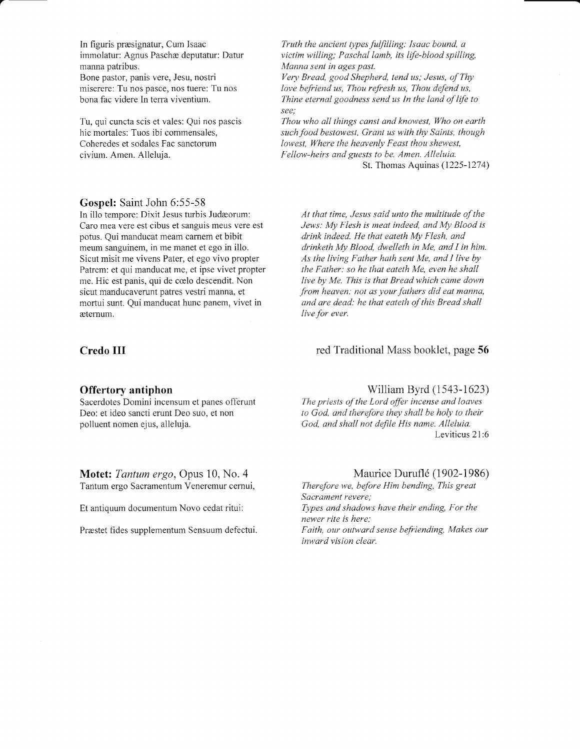In figuris prresignatur, Cum Isaac immolatur: Agnus Paschæ deputatur: Datur manna patribus. Bone pastor, panis vere, Jesu, nostri miserere: Tu nos pasce, nos tuere; Tu nos bona fac videre In tera viventium.

Tu, qui cuncta scis et vales: Qui nos pascis hic mortales: Tuos ibi commensales, Coheredes et sodales Fac sanctorum civium. Amen. Alleluja.

#### Gospel: Saint John 6:55-58

In illo tempore: Dixit Jesus turbis Judæorum: Caro mea vere est cibus et sanguis meus vere est pofus. Qui manducat meam carnem et bibit meum sanguinem, in me manet et ego in illo. Sicut misit me vivens Pater, et ego vivo propter Patrem: et qui manducat me, et ipse vivet propter me. Hic est panis, qui de calo descendit. Non sicut manducaverunt patres vestri manna, et mortui sunt. Qui manducat hunc panem, vivet in etemum.

### Credo III

a

#### Offertory antiphon

Sacerdotes Domini incensum et panes offerunt Deo: et ideo sancti erunt Deo suo, et non polluent nomen ejus, alleluja.

Motet: Tantum ergo, Opus 10, No. 4 Tantum ergo Sacramenfum Veneremur cemui,

Et antiquum documentum Novo cedat ritui:

Præstet fides supplementum Sensuum defectui.

Truth the ancient types fulfilling: Isaac bound, a victim willing; Paschal lamb, its life-blood spilling, Manna sent in ages past. Very Bread, good Shepherd, tend us; Jesus, ofThy love befriend us, Thou refresh us, Thou defend us,

Thine eternal goodness send us In the land of life to see; Thou who all things canst and knowest, Who on earth such food bestowest, Grant us with thy Saints, though

lowest, Where the heavenly Feast thou shewest, Fellow-heirs and guests to be. Amen. Alleluia. St. Thomas Aquinas (1225-1214)

At that time, Jesus said unto the multitude of the Jews: My Flesh is meat indeed, and My Blood is drink indeed. He that eateth My Flesh, and drinketh My Blood, dwelleth in Me, and I in hin. As the living Father hath sent Me, and I live by the Father: so he that eateth Me, even he shall live by Me. This is that Bread which came down from heaven: not as your fathers did eat manna, and are dead: he that eateth of this Bread shall live for ever.

# red Traditional Mass booklet, page 56

#### William Byrd (1543-1623)

The priests of the Lord offer incense and loaves to God, and therefore they shall be holy to their God, and shall not defile His name. Alleluia. Leviticus 21:6

#### Maurice Duruflé (1902-1986)

Therefore we, before Him bending, This great Sacrament revere; Types and shadows have their ending, For the newer rite is here: Faith, our outward sense befriending, Makes our inward vision clear.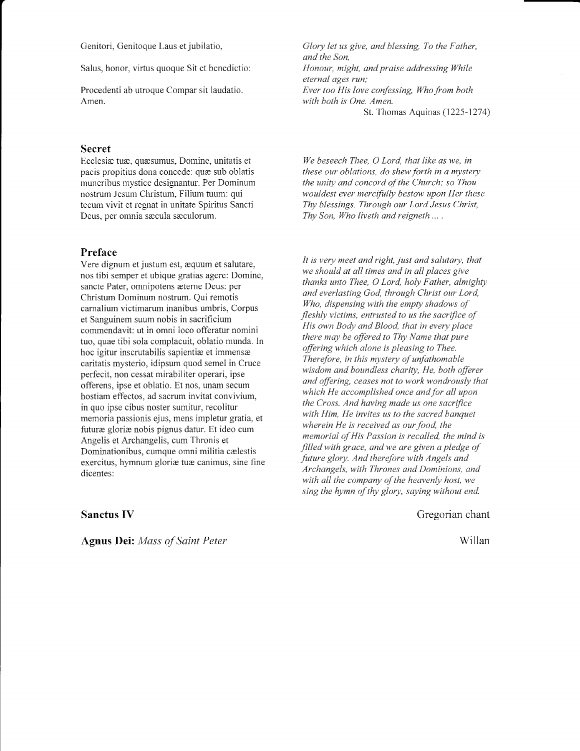Genitori, Genitoque Laus et jubilatio,

Salus, honor, virtus quoque Sit et benedictio:

Procedenti ab utroque Compar sit laudatio. Amen.

#### Secret

Ecclesiæ tuæ, quæsumus, Domine, unitatis et pacis propitius dona concede: quæ sub oblatis muneribus mystice designantur. Per Dominum nostrum Jesum Christum, Filium tuum: qui tecum vivit et regnat in unitate Spiritus Sancti Deus, per omnia sæcula sæculorum.

#### Preface

Vere dignum et justum est, æquum et salutare, nos tibi semper et ubique gratias agere: Domine, sancte Pater, omnipotens æterne Deus: per Christum Dominum nostrum. Qui remotis carnalium victimarum inanibus umbris, Corpus et Sanguinem suum nobis in sacrificium commendavit: ut in omni loco offeratur nomini tuo, quae tibi sola cornpiacuit, oblatio munda. In hoc igitur inscrutabilis sapientiæ et immensæ caritatis mysterio, idipsum quod semel in Cruce perfecit, non cessat mirabiliter operari, ipse offerens, ipse et oblatio. Et nos, unam secum hostiam effectos, ad sacrum invitat convivium, in quo ipse cibus noster sumitur, recolitur memoria passionis ejus, mens impletur gratia, et futuræ gloriæ nobis pignus datur. Et ideo cum Angelis et Archangelis, cum Thronis et Dominationibus, cumque omni militia cælestis exercitus, hymnum gloriæ tuæ canimus, sine fine dicentes:

Glory let us give, and blessing, To the Father, and the Son. Honour, might, and praise addressing While eternal ages run; Ever too His love confessing, Who from both with both is One. Amen. St. Thomas Aquinas (1225-1274)

We beseech Thee,  $O$  Lord, that like as we, in these our oblations, do shew forth in a mystery the unity and concord of the Church; so Thou wouldest ever mercifully bestow upon Her these Thy blessings. Through our Lord Jesus Christ, Thy Son, Who liveth and reigneth ... .

It is very meet and right, just and salutary, that we should at all times and in all places give thanks unto Thee, O Lord, holy Father, almighty and everlasting God, through Christ our Lord, Who, dispensing with the empty shadows of fleshly victims, entrusted to us the sacrifice of His own Body and Blood, that in every place there may be offered to Thy Name that pure offering which alone is pleasing to Thee. Therefore, in this mystery of unfathomable wisdom and boundless charity, He, both offerer and offering, ceases not to work wondrously that which He accomplished once and for all upon the Cross. And having made us one sacrifice with Him, He invites us to the sacred banquet wherein He is received as our food, the memorial of His Passion is recalled, the mind is filled with grace, and we are given a pledge of future glory. And therefore with Angels and Archangels, with Thrones and Dominions, and with all the company of the heavenly host, we sing the hymn of thy glory, saying without end.

Gregorian chant

Willan

Sanctus IV

Agnus Dei: Mass of Saint Peter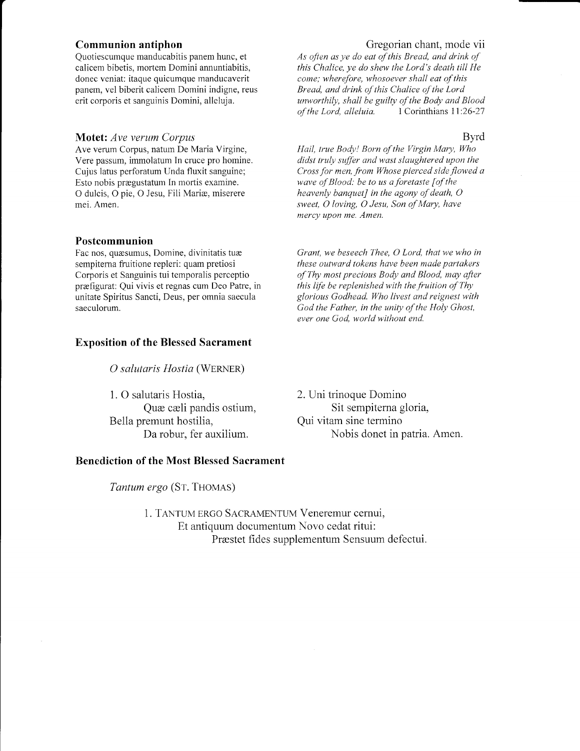### Communion antiphon

Quotiescumque manducabitis panem hunc, et calicem bibetis, mortem Domini annuntiabitis, donec veniat: itaque quicumque manducaverit panem, vel biberit calicem Domini indigne, reus erit corporis et sanguinis Domini, alleluja.

#### **Motet:** Ave verum Corpus

Ave verum Corpus, natum De Maria Virgine, Vere passum, imnolatum In cruce pro homine. Cujus latus perforatum Unda fluxit sanguine; Esto nobis pregustatum In mortis examine. O dulcis, O pie, O Jesu, Fili Mariæ, miserere mei. Amen.

#### Postcommunion

Fac nos, quæsumus, Domine, divinitatis tuæ sempitema fiuitione repleri: quam pretiosi Corporis et Sanguinis tui temporalis perceptio prrefigurat: Qui vivis et regnas cum Deo Patre, in unitate Spiritus Sancti, Deus, per omnia saecula saeculorum.

# Exposition of the Blessed Sacrament

O salutaris Hostia (WERNER)

1. O salutaris Hostia, Quæ cæli pandis ostium, Bella premunt hostilia, Da robur, fer auxilium.

### Benediction of the Most Blessed Sacrament

Tantum ergo (ST. THOMAS)

1. TANTUM ERGO SACRAMENTUM Veneremur cernui. Et antiquum documentum Novo cedat ritui: Prrestet fides supplementum Sensuum defectui.

#### Gregorian chant, mode vii

As often as ye do eat of this Bread, and drink of this Chalice, ye do shew the Lord's death till He come; wherefore, whosoever shall eat of this Bread, and drink of this Chalice of the Lord unworthily, shall be guilty of the Body and Blood<br>of the Lord, alleluia.  $1$  Corinthians 11:26-27 of the Lord, alleluia.

#### Byrd

Hail, true Body! Born of the Virgin Mary, Who didst truly suffer and wast slaughtered upon the Cross for men, from Whose pierced side flowed a wave of Blood: be to us a foretaste  $[$  of the heavenly banquet] in the agony of death,  $O$ sweet, O loving, O Jesu, Son of Mary, have mercy upon me. Amen.

Grant, we beseech Thee, O Lord, that we who in these outward tokens have been made partakers of Thy most precious Body and Blood, may after this life be replenished with the fruition of Thy glorious Godhead. Who livest and reignest with God the Father, in the unity of the Holy Ghost, ever one Cod. world without end.

2. Uni trinoque Domino Sit sempiterna gloria, Qui vitam sine termino Nobis donet in patria. Amen.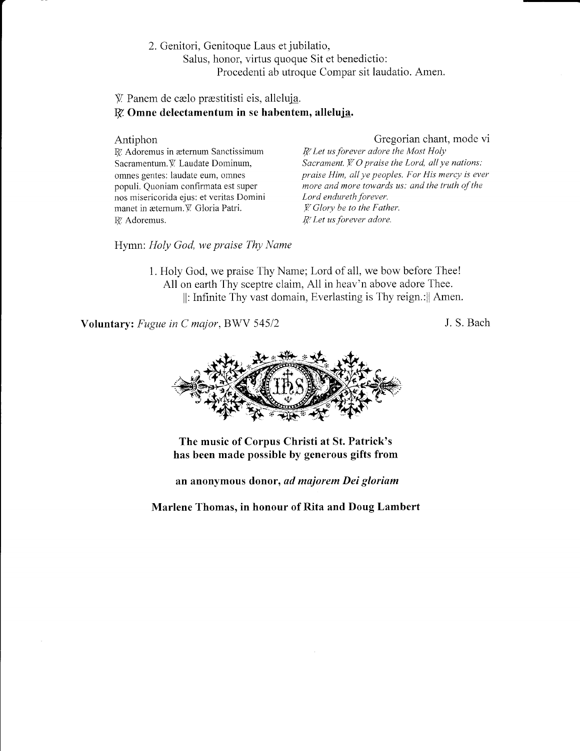2. Genitori, Genitoque Laus et jubilatio,

Salus, honor, virtus quoque Sit et benedictio:

Procedenti ab utroque Compar sit laudatio. Amen.

# $\mathcal{V}$ . Panem de cælo præstitisti eis, alleluja.  $R$ . Omne delectamentum in se habentem, alleluja.

#### Antiphon

Gregorian chant, mode vi

R. Adoremus in æternum Sanctissimum Sacramentum. V. Laudate Dominum, omnes gentes: laudate eum, omnes populi. Quoniam confirmata est super nos misericorida ejus: et veritas Domini manet in æternum. V. Gloria Patri. R. Adoremus.

R. Let us forever adore the Most Holy Sacrament.  $\cancel{Y}$ . O praise the Lord, all ye nations: praise Hin, all ye peoples. For His mercy is ever more and more towards us: and the truth of the Lord endureth forever.  $\mathcal Y$ . Glory be to the Father.  $R$ <sup> $\ell$ </sup> Let us forever adore.

Hymn: Holy God, we praise Thy Name

1. Holy God, we praise Thy Name; Lord of all, we bow before Thee! All on earth Thy sceptre claim, All in heav'n above adore Thee. ll: Infinite Thy vast domain, Everlasting is Thy reign.:]] Amen.

Voluntary: Fugue in C major, BWV 545/2

J. S. Bach



The music of Corpus Christi at St. Patrick's has been made possible by generous gifts from

an anonymous donor, ad majorem Dei gloriam

Marlene Thomas, in honour of Rita and Doug Lambert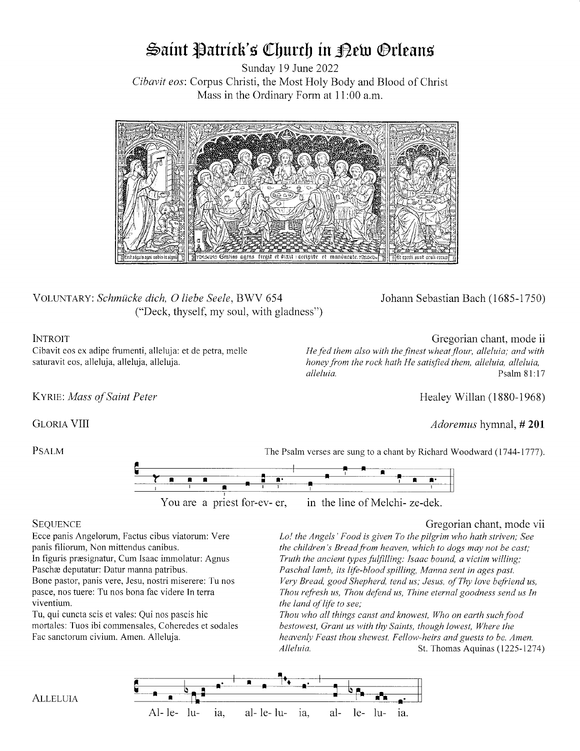# Saint Patrick's Church in Dew Orleans

Sunday 19 June 2022 Cibavit eos: Corpus Christi, the Most Holy Body and Blood of Christ Mass in the Ordinary Form at 11:00 a.m.



VOLUNTARY: Schmücke dich, O liebe Seele, BWV 654 ("Deck, thyself, my soul, with gladness") Johann Sebastian Bach (1685-1750)

# **INTROIT**

Cibavit eos ex adipe fiumenti, alleluja: et de petra, mel1e saturavit eos, alleluja, alleluja, alleluja.

Gregorian chant, mode ii He fed them also with the finest wheat flour, alleluia; and with honey from the rock hath He satisfied them, alleluia, alleluia, alleluia, alleluia, alleluia, alleluia, alleluia, alleluia, alleluia, alleluia, alleluia, alleluia, alleluia, alleluia,  $P_{\text{S}}$ Psalm 81:17

KYRIE: Mass of Saint Peter

GLORIA VIII

**PSALM** 

The Psalm verses are sung to a chant by Richard Woodward (1744-1777).



### **SEQUENCE**

Ecce panis Angelorum, Pactus cibus viatorum: Vere panis fiiiorum, Non mittendus canibus. In figuris praesignatur, Cum Isaac immolatur: Agnus Paschæ deputatur: Datur manna patribus. Bone pastor, panis vere, Jesu, nostri miserere: Tu nos pasce, nos fuere: Tu nos bona fac videre In terra viventium.

Tu, qui cuncta scis et vales: Qui nos pascis hic mofiales: Tuos ibi commensales, Coheredes et sodales Fac sanctorum civium. Amen. Alleluja.

### Gregorian chant, mode vii

Healey Willan (1880-1968)

Adoremus hymnal, #201

Lo! the Angels' Food is given To the pilgrim who hath striven; See the children's Bread from heaven, which to dogs may not be cast; Truth the ancient types fulfilling: Isaac bound, a victim willing; Paschal lamb, its life-blood spilling, Manna sent in ages past. Very Bread, good Shepherd, tend us; Jesus, of Thy love befriend us, Thou refresh us, Thou defend us, Thine eternal goodness send us In the land of life to see;

Thou who all things canst and knowest, Who on earth such food bestowest, Grant us with thy Saints, though lowest, Where the heavenly Feast thou shewest, Fellow-heirs and guests to be. Amen. Alleluia. St. Thomas Aquinas (1225-1214)



**ALLELUIA**